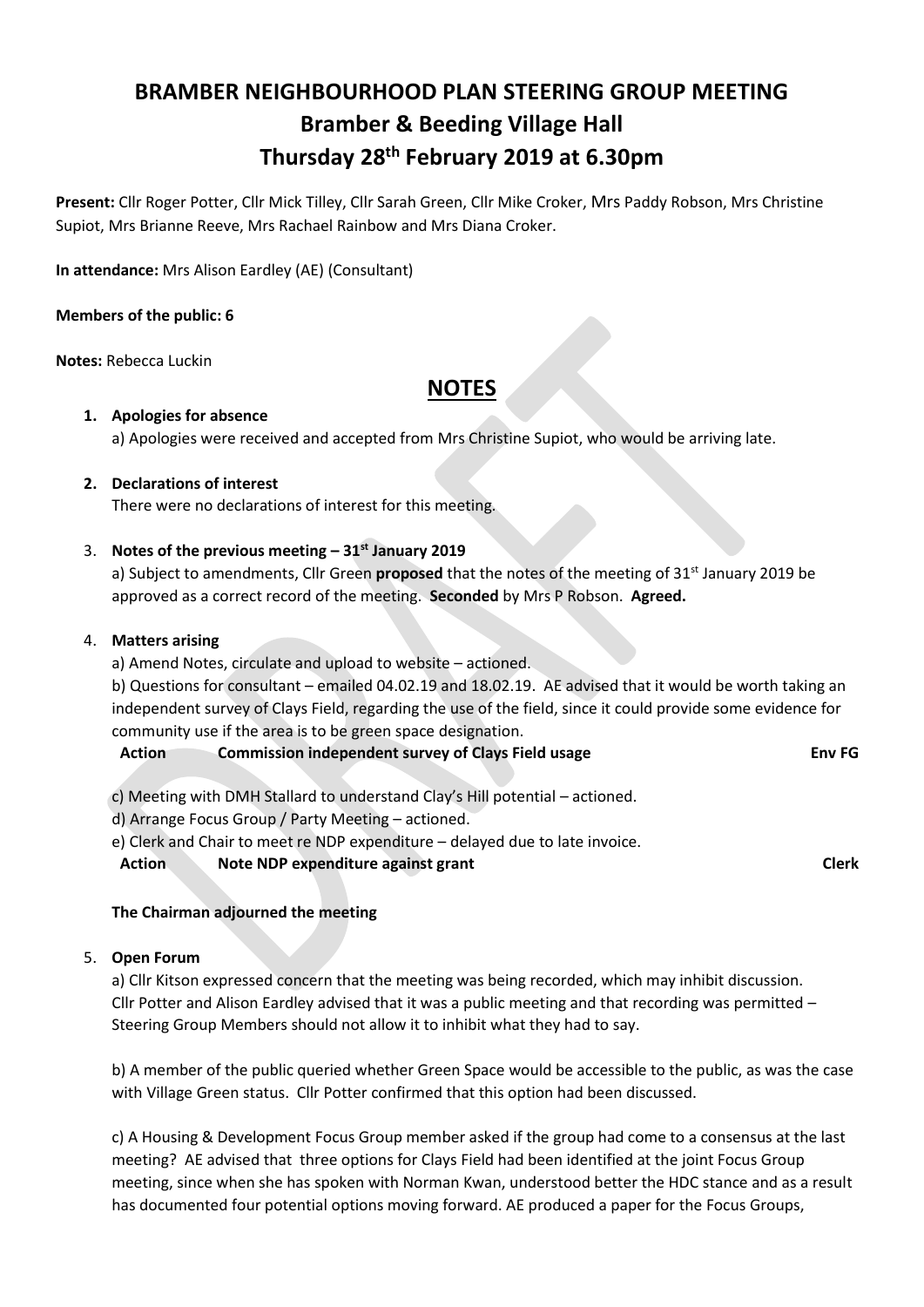# **BRAMBER NEIGHBOURHOOD PLAN STEERING GROUP MEETING Bramber & Beeding Village Hall Thursday 28th February 2019 at 6.30pm**

**Present:** Cllr Roger Potter, Cllr Mick Tilley, Cllr Sarah Green, Cllr Mike Croker, Mrs Paddy Robson, Mrs Christine Supiot, Mrs Brianne Reeve, Mrs Rachael Rainbow and Mrs Diana Croker.

**In attendance:** Mrs Alison Eardley (AE) (Consultant)

## **Members of the public: 6**

**Notes:** Rebecca Luckin

## **NOTES**

## **1. Apologies for absence**

a) Apologies were received and accepted from Mrs Christine Supiot, who would be arriving late.

## **2. Declarations of interest**

There were no declarations of interest for this meeting.

## 3. **Notes of the previous meeting – 31st January 2019**

a) Subject to amendments, Cllr Green **proposed** that the notes of the meeting of 31<sup>st</sup> January 2019 be approved as a correct record of the meeting. **Seconded** by Mrs P Robson. **Agreed.**

## 4. **Matters arising**

a) Amend Notes, circulate and upload to website – actioned.

b) Questions for consultant – emailed 04.02.19 and 18.02.19. AE advised that it would be worth taking an independent survey of Clays Field, regarding the use of the field, since it could provide some evidence for community use if the area is to be green space designation.

## **Action Commission independent survey of Clays Field usage Env FG**

c) Meeting with DMH Stallard to understand Clay's Hill potential – actioned.

d) Arrange Focus Group / Party Meeting – actioned.

e) Clerk and Chair to meet re NDP expenditure – delayed due to late invoice.

**Action Note NDP expenditure against grant Clerk Clerk Clerk** 

## **The Chairman adjourned the meeting**

## 5. **Open Forum**

a) Cllr Kitson expressed concern that the meeting was being recorded, which may inhibit discussion. Cllr Potter and Alison Eardley advised that it was a public meeting and that recording was permitted – Steering Group Members should not allow it to inhibit what they had to say.

b) A member of the public queried whether Green Space would be accessible to the public, as was the case with Village Green status. Cllr Potter confirmed that this option had been discussed.

c) A Housing & Development Focus Group member asked if the group had come to a consensus at the last meeting? AE advised that three options for Clays Field had been identified at the joint Focus Group meeting, since when she has spoken with Norman Kwan, understood better the HDC stance and as a result has documented four potential options moving forward. AE produced a paper for the Focus Groups,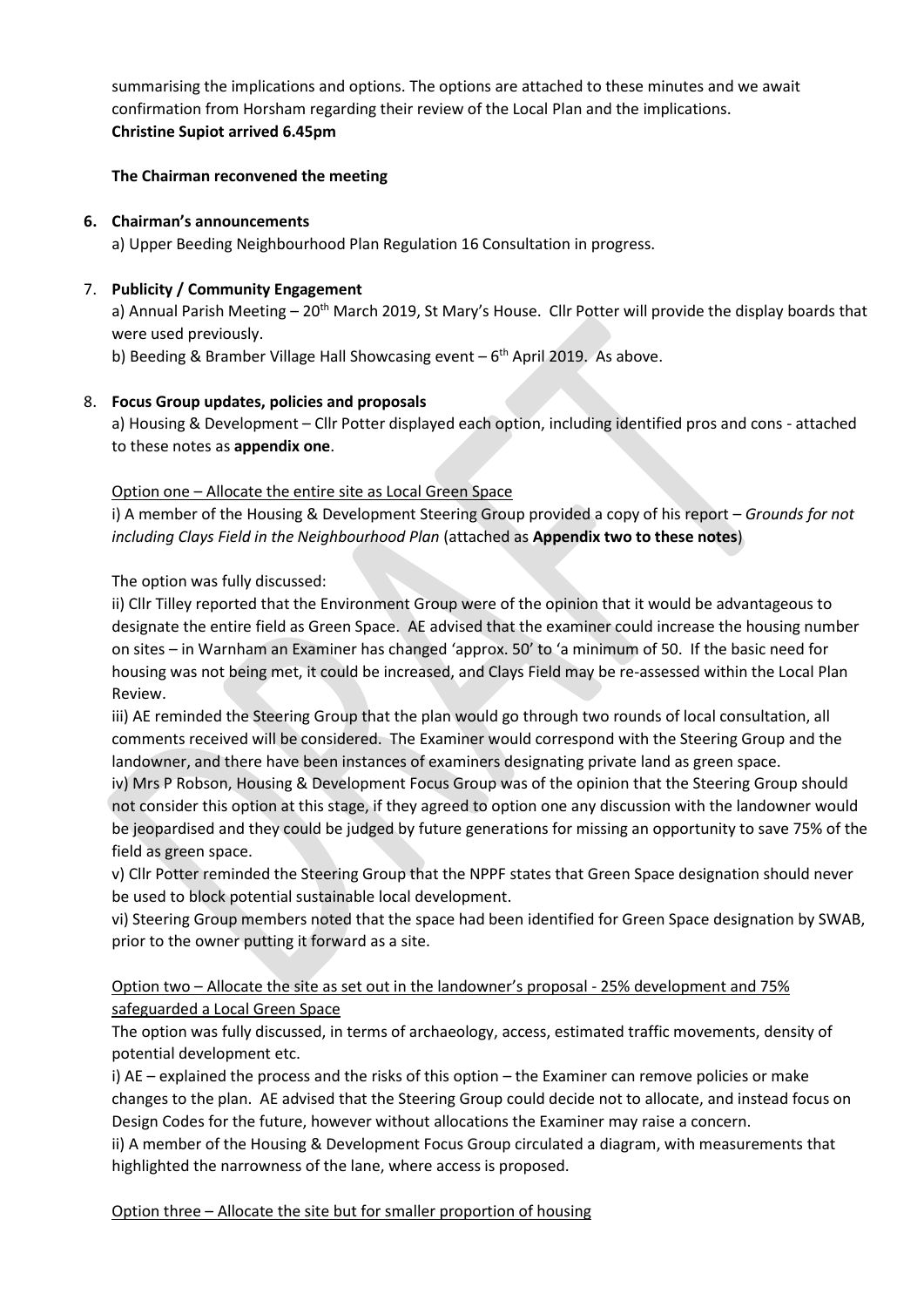summarising the implications and options. The options are attached to these minutes and we await confirmation from Horsham regarding their review of the Local Plan and the implications. **Christine Supiot arrived 6.45pm**

## **The Chairman reconvened the meeting**

## **6. Chairman's announcements**

a) Upper Beeding Neighbourhood Plan Regulation 16 Consultation in progress.

## 7. **Publicity / Community Engagement**

a) Annual Parish Meeting  $-20<sup>th</sup>$  March 2019, St Mary's House. Cllr Potter will provide the display boards that were used previously.

b) Beeding & Bramber Village Hall Showcasing event - 6<sup>th</sup> April 2019. As above.

## 8. **Focus Group updates, policies and proposals**

a) Housing & Development – Cllr Potter displayed each option, including identified pros and cons - attached to these notes as **appendix one**.

## Option one – Allocate the entire site as Local Green Space

i) A member of the Housing & Development Steering Group provided a copy of his report – *Grounds for not including Clays Field in the Neighbourhood Plan* (attached as **Appendix two to these notes**)

The option was fully discussed:

ii) Cllr Tilley reported that the Environment Group were of the opinion that it would be advantageous to designate the entire field as Green Space. AE advised that the examiner could increase the housing number on sites – in Warnham an Examiner has changed 'approx. 50' to 'a minimum of 50. If the basic need for housing was not being met, it could be increased, and Clays Field may be re-assessed within the Local Plan Review.

iii) AE reminded the Steering Group that the plan would go through two rounds of local consultation, all comments received will be considered. The Examiner would correspond with the Steering Group and the landowner, and there have been instances of examiners designating private land as green space.

iv) Mrs P Robson, Housing & Development Focus Group was of the opinion that the Steering Group should not consider this option at this stage, if they agreed to option one any discussion with the landowner would be jeopardised and they could be judged by future generations for missing an opportunity to save 75% of the field as green space.

v) Cllr Potter reminded the Steering Group that the NPPF states that Green Space designation should never be used to block potential sustainable local development.

vi) Steering Group members noted that the space had been identified for Green Space designation by SWAB, prior to the owner putting it forward as a site.

## Option two – Allocate the site as set out in the landowner's proposal - 25% development and 75% safeguarded a Local Green Space

The option was fully discussed, in terms of archaeology, access, estimated traffic movements, density of potential development etc.

i) AE – explained the process and the risks of this option – the Examiner can remove policies or make changes to the plan. AE advised that the Steering Group could decide not to allocate, and instead focus on Design Codes for the future, however without allocations the Examiner may raise a concern.

ii) A member of the Housing & Development Focus Group circulated a diagram, with measurements that highlighted the narrowness of the lane, where access is proposed.

Option three – Allocate the site but for smaller proportion of housing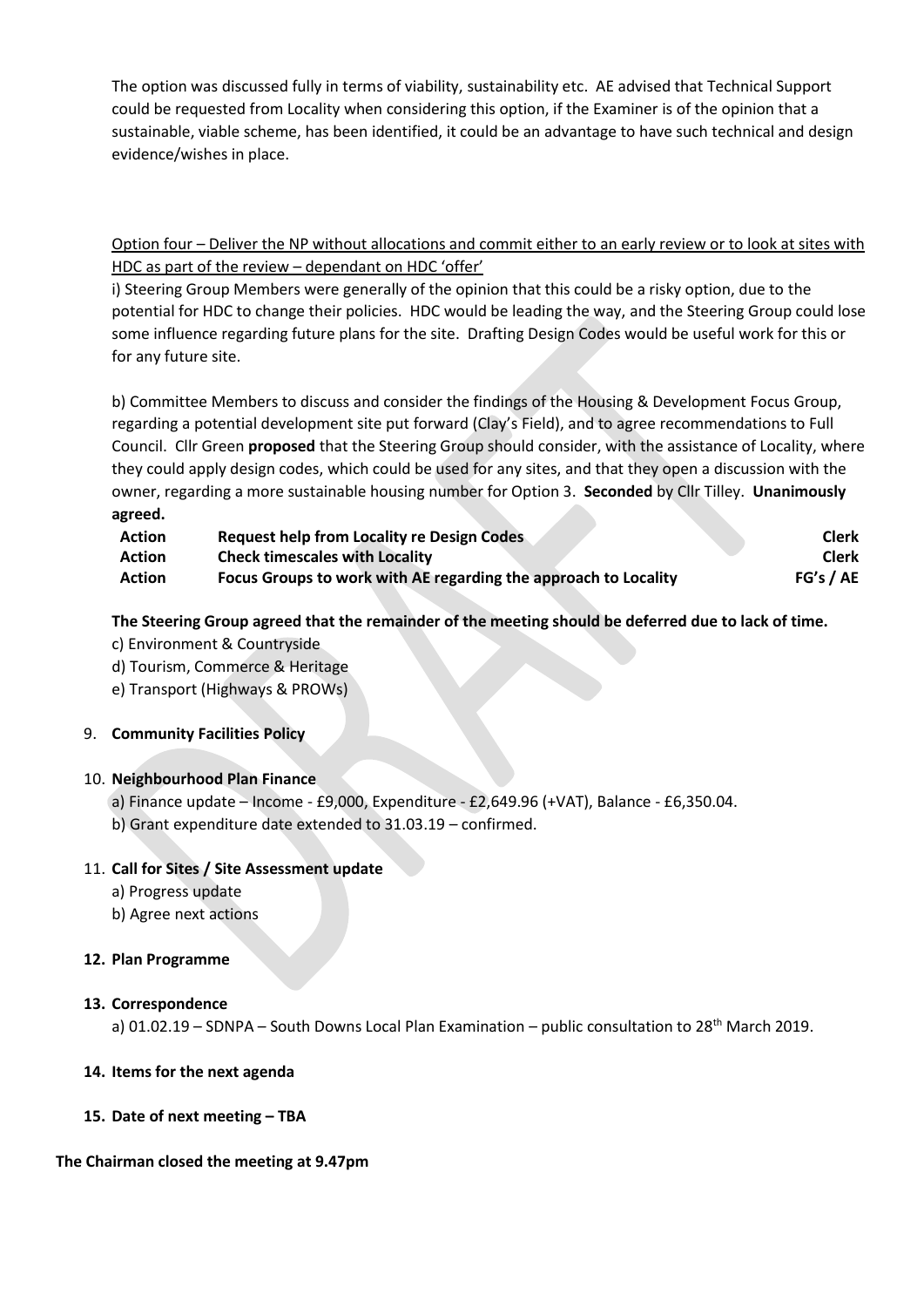The option was discussed fully in terms of viability, sustainability etc. AE advised that Technical Support could be requested from Locality when considering this option, if the Examiner is of the opinion that a sustainable, viable scheme, has been identified, it could be an advantage to have such technical and design evidence/wishes in place.

Option four – Deliver the NP without allocations and commit either to an early review or to look at sites with HDC as part of the review – dependant on HDC 'offer'

i) Steering Group Members were generally of the opinion that this could be a risky option, due to the potential for HDC to change their policies. HDC would be leading the way, and the Steering Group could lose some influence regarding future plans for the site. Drafting Design Codes would be useful work for this or for any future site.

b) Committee Members to discuss and consider the findings of the Housing & Development Focus Group, regarding a potential development site put forward (Clay's Field), and to agree recommendations to Full Council.Cllr Green **proposed** that the Steering Group should consider, with the assistance of Locality, where they could apply design codes, which could be used for any sites, and that they open a discussion with the owner, regarding a more sustainable housing number for Option 3. **Seconded** by Cllr Tilley. **Unanimously agreed.** 

| <b>Action</b> | <b>Request help from Locality re Design Codes</b>               | <b>Clerk</b> |
|---------------|-----------------------------------------------------------------|--------------|
| <b>Action</b> | <b>Check timescales with Locality</b>                           | <b>Clerk</b> |
| <b>Action</b> | Focus Groups to work with AE regarding the approach to Locality | FG's / AE    |

## **The Steering Group agreed that the remainder of the meeting should be deferred due to lack of time.**

- c) Environment & Countryside
- d) Tourism, Commerce & Heritage
- e) Transport (Highways & PROWs)

#### 9. **Community Facilities Policy**

#### 10. **Neighbourhood Plan Finance**

- a) Finance update Income £9,000, Expenditure £2,649.96 (+VAT), Balance £6,350.04.
- b) Grant expenditure date extended to 31.03.19 confirmed.

## 11. **Call for Sites / Site Assessment update**

- a) Progress update
- b) Agree next actions

#### **12. Plan Programme**

#### **13. Correspondence**

a) 01.02.19 – SDNPA – South Downs Local Plan Examination – public consultation to 28<sup>th</sup> March 2019.

#### **14. Items for the next agenda**

**15. Date of next meeting – TBA**

## **The Chairman closed the meeting at 9.47pm**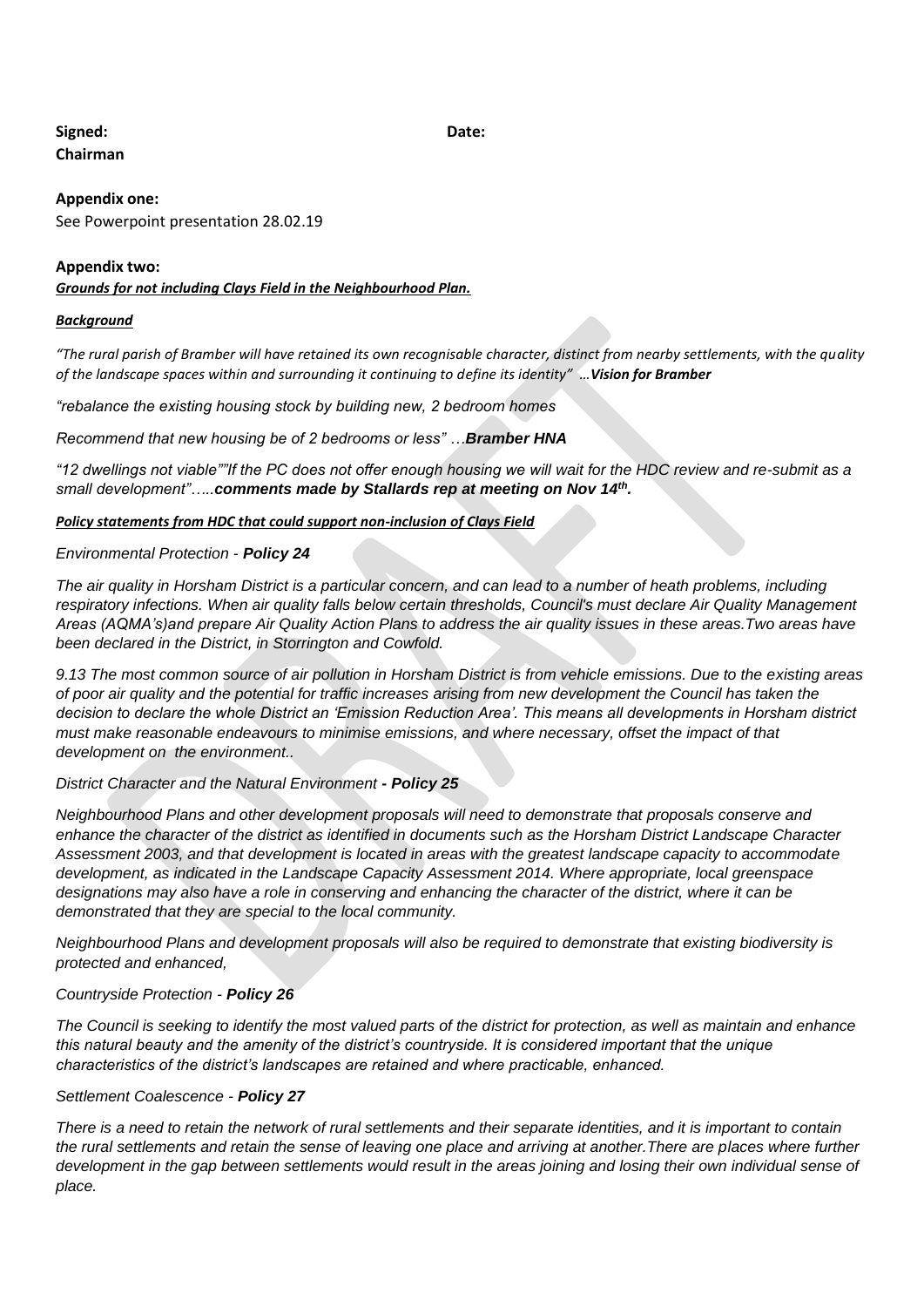## **Signed: Date: Chairman**

#### **Appendix one:**

See Powerpoint presentation 28.02.19

#### **Appendix two:**

*Grounds for not including Clays Field in the Neighbourhood Plan.*

#### *Background*

*"The rural parish of Bramber will have retained its own recognisable character, distinct from nearby settlements, with the quality of the landscape spaces within and surrounding it continuing to define its identity" …Vision for Bramber*

*"rebalance the existing housing stock by building new, 2 bedroom homes*

*Recommend that new housing be of 2 bedrooms or less" …Bramber HNA*

*"12 dwellings not viable""If the PC does not offer enough housing we will wait for the HDC review and re-submit as a small development"…..comments made by Stallards rep at meeting on Nov 14th .*

*Policy statements from HDC that could support non-inclusion of Clays Field*

#### *Environmental Protection - Policy 24*

*The air quality in Horsham District is a particular concern, and can lead to a number of heath problems, including respiratory infections. When air quality falls below certain thresholds, Council's must declare Air Quality Management Areas (AQMA's)and prepare Air Quality Action Plans to address the air quality issues in these areas.Two areas have been declared in the District, in Storrington and Cowfold.*

*9.13 The most common source of air pollution in Horsham District is from vehicle emissions. Due to the existing areas of poor air quality and the potential for traffic increases arising from new development the Council has taken the decision to declare the whole District an 'Emission Reduction Area'. This means all developments in Horsham district must make reasonable endeavours to minimise emissions, and where necessary, offset the impact of that development on the environment..*

#### *District Character and the Natural Environment - Policy 25*

*Neighbourhood Plans and other development proposals will need to demonstrate that proposals conserve and enhance the character of the district as identified in documents such as the Horsham District Landscape Character Assessment 2003, and that development is located in areas with the greatest landscape capacity to accommodate development, as indicated in the Landscape Capacity Assessment 2014. Where appropriate, local greenspace designations may also have a role in conserving and enhancing the character of the district, where it can be demonstrated that they are special to the local community.*

*Neighbourhood Plans and development proposals will also be required to demonstrate that existing biodiversity is protected and enhanced,*

#### *Countryside Protection - Policy 26*

*The Council is seeking to identify the most valued parts of the district for protection, as well as maintain and enhance this natural beauty and the amenity of the district's countryside. It is considered important that the unique characteristics of the district's landscapes are retained and where practicable, enhanced.*

#### *Settlement Coalescence - Policy 27*

*There is a need to retain the network of rural settlements and their separate identities, and it is important to contain the rural settlements and retain the sense of leaving one place and arriving at another.There are places where further development in the gap between settlements would result in the areas joining and losing their own individual sense of place.*